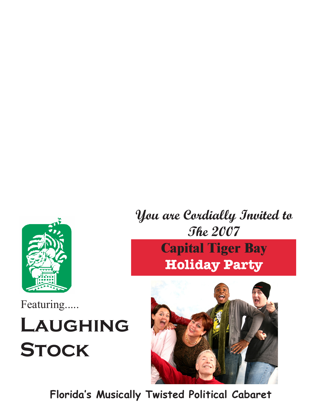

Featuring.....

## **Laughing Stock**



**Florida's Musically Twisted Political Cabaret**

## **You are Cordially Invited to The 2007**

## **Capital Tiger Bay Holiday Party**